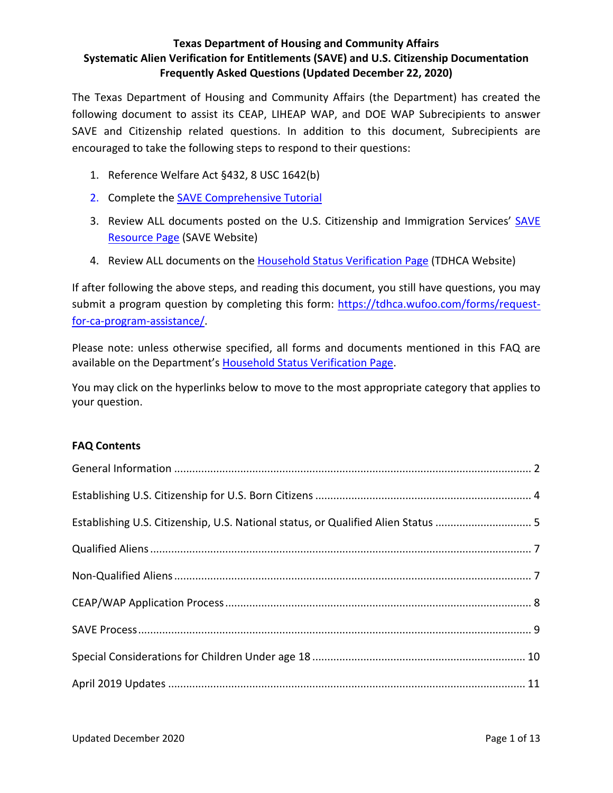<span id="page-0-0"></span>The Texas Department of Housing and Community Affairs (the Department) has created the following document to assist its CEAP, LIHEAP WAP, and DOE WAP Subrecipients to answer SAVE and Citizenship related questions. In addition to this document, Subrecipients are encouraged to take the following steps to respond to their questions:

- 1. Reference Welfare Act §432, 8 USC 1642(b)
- 2. Complete the [SAVE Comprehensive Tutorial](https://www.uscis.gov/save/save-resources/save-webinars)
- 3. Review ALL documents posted on the U.S. Citizenship and Immigration Services' [SAVE](https://www.uscis.gov/save/resources)  [Resource Page](https://www.uscis.gov/save/resources) (SAVE Website)
- 4. Review ALL documents on the [Household Status Verification](https://www.tdhca.state.tx.us/community-affairs/save.htm) Page (TDHCA Website)

If after following the above steps, and reading this document, you still have questions, you may submit a program question by completing this form: [https://tdhca.wufoo.com/forms/request](https://tdhca.wufoo.com/forms/request-for-ca-program-assistance/)[for-ca-program-assistance/.](https://tdhca.wufoo.com/forms/request-for-ca-program-assistance/)

Please note: unless otherwise specified, all forms and documents mentioned in this FAQ are available on the Department's [Household Status Verification Page.](https://www.tdhca.state.tx.us/community-affairs/save.htm)

You may click on the hyperlinks below to move to the most appropriate category that applies to your question.

### **FAQ Contents**

| Establishing U.S. Citizenship, U.S. National status, or Qualified Alien Status  5 |  |
|-----------------------------------------------------------------------------------|--|
|                                                                                   |  |
|                                                                                   |  |
|                                                                                   |  |
|                                                                                   |  |
|                                                                                   |  |
|                                                                                   |  |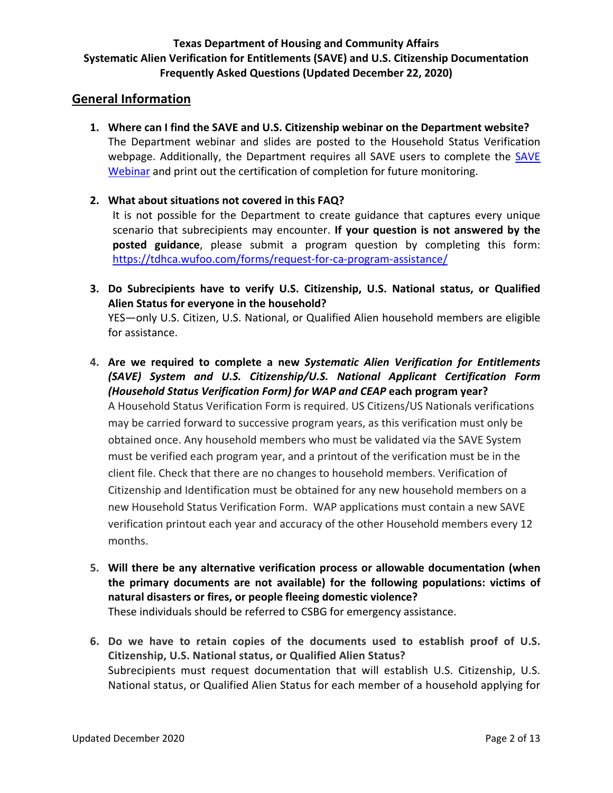### <span id="page-1-0"></span>**General Information**

- **1. Where can I find the SAVE and U.S. Citizenship webinar on the Department website?** The Department webinar and slides are posted to the Household Status Verification webpage. Additionally, the Department requires all [SAVE](https://www.uscis.gov/save/save-resources/save-webinars) users to complete the SAVE [Webinar](https://www.uscis.gov/save/save-resources/save-webinars) and print out the certification of completion for future monitoring.
- **2. What about situations not covered in this FAQ?**

It is not possible for the Department to create guidance that captures every unique scenario that subrecipients may encounter. **If your question is not answered by the posted guidance**, please submit a program question by completing this form: <https://tdhca.wufoo.com/forms/request-for-ca-program-assistance/>

**3. Do Subrecipients have to verify U.S. Citizenship, U.S. National status, or Qualified Alien Status for everyone in the household?**

YES—only U.S. Citizen, U.S. National, or Qualified Alien household members are eligible for assistance.

- **4. Are we required to complete a new** *Systematic Alien Verification for Entitlements (SAVE) System and U.S. Citizenship/U.S. National Applicant Certification Form (Household Status Verification Form) for WAP and CEAP* **each program year?** A Household Status Verification Form is required. US Citizens/US Nationals verifications may be carried forward to successive program years, as this verification must only be obtained once. Any household members who must be validated via the SAVE System must be verified each program year, and a printout of the verification must be in the client file. Check that there are no changes to household members. Verification of Citizenship and Identification must be obtained for any new household members on a new Household Status Verification Form. WAP applications must contain a new SAVE verification printout each year and accuracy of the other Household members every 12 months.
- **5. Will there be any alternative verification process or allowable documentation (when the primary documents are not available) for the following populations: victims of natural disasters or fires, or people fleeing domestic violence?** These individuals should be referred to CSBG for emergency assistance.
- **6. Do we have to retain copies of the documents used to establish proof of U.S. Citizenship, U.S. National status, or Qualified Alien Status?** Subrecipients must request documentation that will establish U.S. Citizenship, U.S. National status, or Qualified Alien Status for each member of a household applying for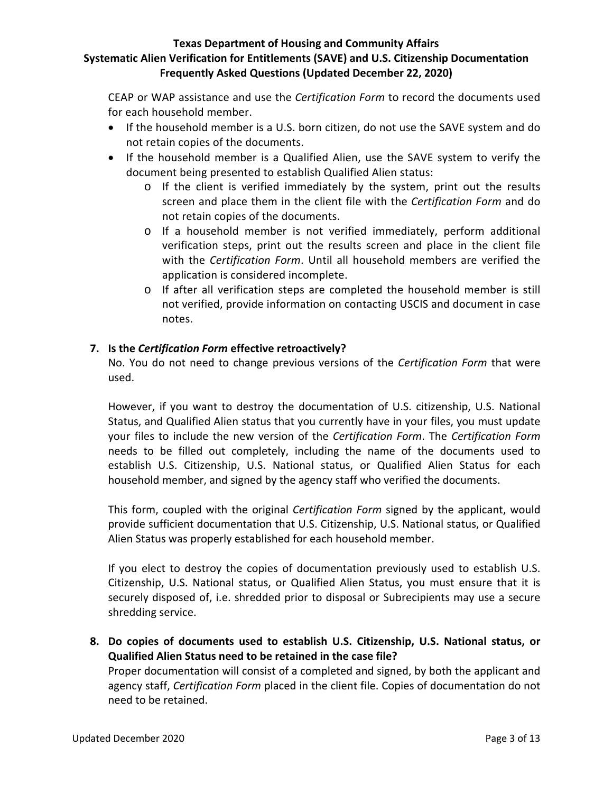CEAP or WAP assistance and use the *Certification Form* to record the documents used for each household member.

- If the household member is a U.S. born citizen, do not use the SAVE system and do not retain copies of the documents.
- If the household member is a Qualified Alien, use the SAVE system to verify the document being presented to establish Qualified Alien status:
	- o If the client is verified immediately by the system, print out the results screen and place them in the client file with the *Certification Form* and do not retain copies of the documents.
	- o If a household member is not verified immediately, perform additional verification steps, print out the results screen and place in the client file with the *Certification Form*. Until all household members are verified the application is considered incomplete.
	- o If after all verification steps are completed the household member is still not verified, provide information on contacting USCIS and document in case notes.

## **7. Is the** *Certification Form* **effective retroactively?**

No. You do not need to change previous versions of the *Certification Form* that were used.

However, if you want to destroy the documentation of U.S. citizenship, U.S. National Status, and Qualified Alien status that you currently have in your files, you must update your files to include the new version of the *Certification Form*. The *Certification Form* needs to be filled out completely, including the name of the documents used to establish U.S. Citizenship, U.S. National status, or Qualified Alien Status for each household member, and signed by the agency staff who verified the documents.

This form, coupled with the original *Certification Form* signed by the applicant, would provide sufficient documentation that U.S. Citizenship, U.S. National status, or Qualified Alien Status was properly established for each household member.

If you elect to destroy the copies of documentation previously used to establish U.S. Citizenship, U.S. National status, or Qualified Alien Status, you must ensure that it is securely disposed of, i.e. shredded prior to disposal or Subrecipients may use a secure shredding service.

**8. Do copies of documents used to establish U.S. Citizenship, U.S. National status, or Qualified Alien Status need to be retained in the case file?**

Proper documentation will consist of a completed and signed, by both the applicant and agency staff, *Certification Form* placed in the client file. Copies of documentation do not need to be retained.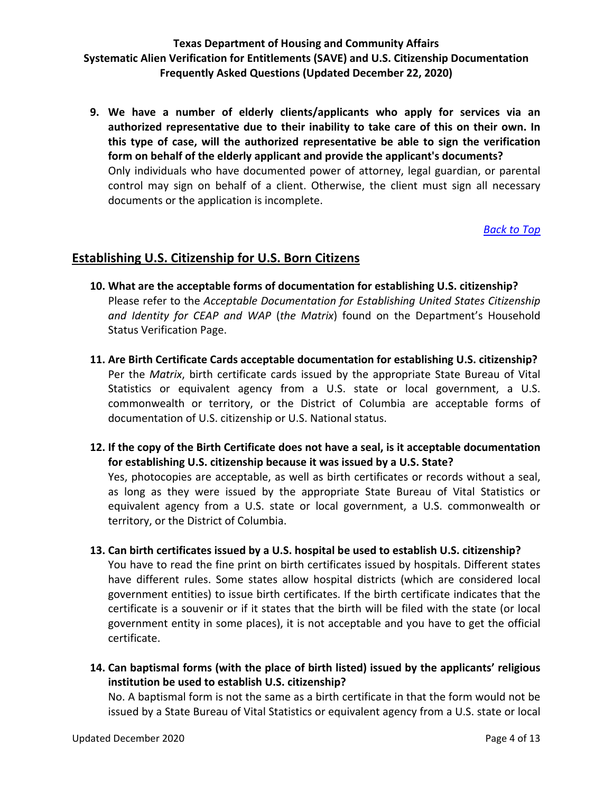**9. We have a number of elderly clients/applicants who apply for services via an authorized representative due to their inability to take care of this on their own. In this type of case, will the authorized representative be able to sign the verification form on behalf of the elderly applicant and provide the applicant's documents?** Only individuals who have documented power of attorney, legal guardian, or parental control may sign on behalf of a client. Otherwise, the client must sign all necessary documents or the application is incomplete.

*[Back to Top](#page-0-0)*

### <span id="page-3-0"></span>**Establishing U.S. Citizenship for U.S. Born Citizens**

- **10. What are the acceptable forms of documentation for establishing U.S. citizenship?** Please refer to the *Acceptable Documentation for Establishing United States Citizenship and Identity for CEAP and WAP* (*the Matrix*) found on the Department's Household Status Verification Page.
- **11. Are Birth Certificate Cards acceptable documentation for establishing U.S. citizenship?**  Per the *Matrix*, birth certificate cards issued by the appropriate State Bureau of Vital Statistics or equivalent agency from a U.S. state or local government, a U.S. commonwealth or territory, or the District of Columbia are acceptable forms of documentation of U.S. citizenship or U.S. National status.
- **12. If the copy of the Birth Certificate does not have a seal, is it acceptable documentation for establishing U.S. citizenship because it was issued by a U.S. State?**

Yes, photocopies are acceptable, as well as birth certificates or records without a seal, as long as they were issued by the appropriate State Bureau of Vital Statistics or equivalent agency from a U.S. state or local government, a U.S. commonwealth or territory, or the District of Columbia.

#### **13. Can birth certificates issued by a U.S. hospital be used to establish U.S. citizenship?**

You have to read the fine print on birth certificates issued by hospitals. Different states have different rules. Some states allow hospital districts (which are considered local government entities) to issue birth certificates. If the birth certificate indicates that the certificate is a souvenir or if it states that the birth will be filed with the state (or local government entity in some places), it is not acceptable and you have to get the official certificate.

**14. Can baptismal forms (with the place of birth listed) issued by the applicants' religious institution be used to establish U.S. citizenship?**

No. A baptismal form is not the same as a birth certificate in that the form would not be issued by a State Bureau of Vital Statistics or equivalent agency from a U.S. state or local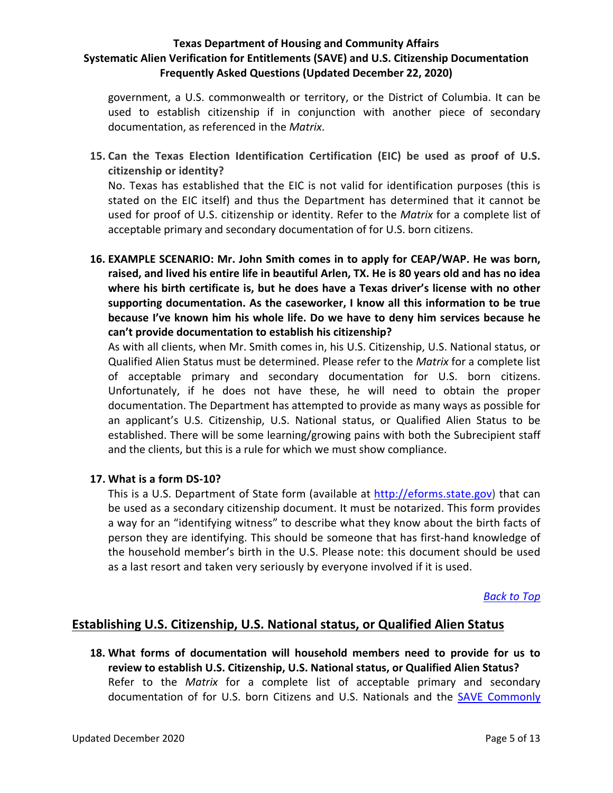government, a U.S. commonwealth or territory, or the District of Columbia. It can be used to establish citizenship if in conjunction with another piece of secondary documentation, as referenced in the *Matrix*.

**15. Can the Texas Election Identification Certification (EIC) be used as proof of U.S. citizenship or identity?**

No. Texas has established that the EIC is not valid for identification purposes (this is stated on the EIC itself) and thus the Department has determined that it cannot be used for proof of U.S. citizenship or identity. Refer to the *Matrix* for a complete list of acceptable primary and secondary documentation of for U.S. born citizens.

**16. EXAMPLE SCENARIO: Mr. John Smith comes in to apply for CEAP/WAP. He was born, raised, and lived his entire life in beautiful Arlen, TX. He is 80 years old and has no idea where his birth certificate is, but he does have a Texas driver's license with no other supporting documentation. As the caseworker, I know all this information to be true because I've known him his whole life. Do we have to deny him services because he can't provide documentation to establish his citizenship?**

As with all clients, when Mr. Smith comes in, his U.S. Citizenship, U.S. National status, or Qualified Alien Status must be determined. Please refer to the *Matrix* for a complete list of acceptable primary and secondary documentation for U.S. born citizens. Unfortunately, if he does not have these, he will need to obtain the proper documentation. The Department has attempted to provide as many ways as possible for an applicant's U.S. Citizenship, U.S. National status, or Qualified Alien Status to be established. There will be some learning/growing pains with both the Subrecipient staff and the clients, but this is a rule for which we must show compliance.

### **17. What is a form DS-10?**

This is a U.S. Department of State form (available at [http://eforms.state.gov\)](http://eforms.state.gov/) that can be used as a secondary citizenship document. It must be notarized. This form provides a way for an "identifying witness" to describe what they know about the birth facts of person they are identifying. This should be someone that has first-hand knowledge of the household member's birth in the U.S. Please note: this document should be used as a last resort and taken very seriously by everyone involved if it is used.

*[Back to Top](#page-0-0)*

# <span id="page-4-0"></span>**Establishing U.S. Citizenship, U.S. National status, or Qualified Alien Status**

**18. What forms of documentation will household members need to provide for us to review to establish U.S. Citizenship, U.S. National status, or Qualified Alien Status?** Refer to the *Matrix* for a complete list of acceptable primary and secondary documentation of for U.S. born Citizens and U.S. Nationals and the SAVE Commonly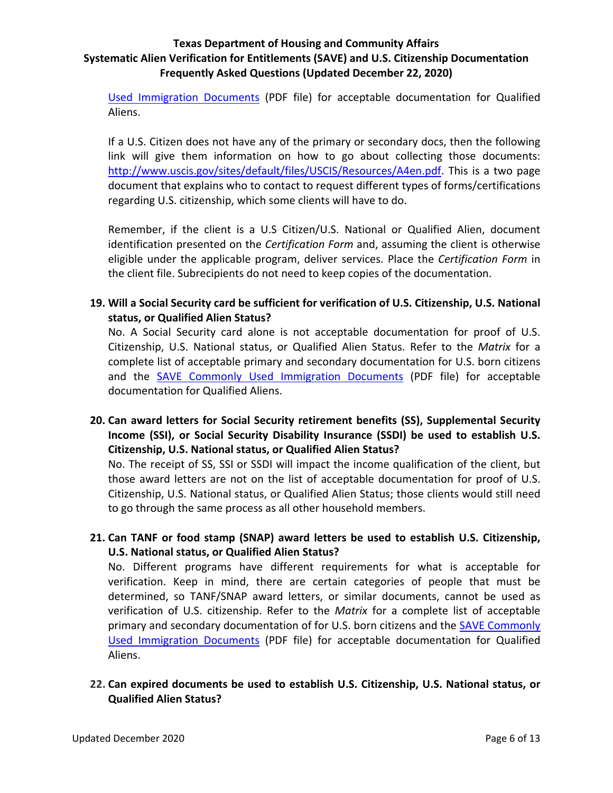[Used Immigration Documents](https://www.tdhca.state.tx.us/community-affairs/docs/SAVEGuideCommonlyusedImmigrationDocs.pdf) (PDF file) for acceptable documentation for Qualified Aliens.

If a U.S. Citizen does not have any of the primary or secondary docs, then the following link will give them information on how to go about collecting those documents: [http://www.uscis.gov/sites/default/files/USCIS/Resources/A4en.pdf.](http://www.uscis.gov/sites/default/files/USCIS/Resources/A4en.pdf) This is a two page document that explains who to contact to request different types of forms/certifications regarding U.S. citizenship, which some clients will have to do.

Remember, if the client is a U.S Citizen/U.S. National or Qualified Alien, document identification presented on the *Certification Form* and, assuming the client is otherwise eligible under the applicable program, deliver services. Place the *Certification Form* in the client file. Subrecipients do not need to keep copies of the documentation.

**19. Will a Social Security card be sufficient for verification of U.S. Citizenship, U.S. National status, or Qualified Alien Status?**

No. A Social Security card alone is not acceptable documentation for proof of U.S. Citizenship, U.S. National status, or Qualified Alien Status. Refer to the *Matrix* for a complete list of acceptable primary and secondary documentation for U.S. born citizens and the [SAVE Commonly Used Immigration Documents](https://www.tdhca.state.tx.us/community-affairs/docs/SAVEGuideCommonlyusedImmigrationDocs.pdf) (PDF file) for acceptable documentation for Qualified Aliens.

## **20. Can award letters for Social Security retirement benefits (SS), Supplemental Security Income (SSI), or Social Security Disability Insurance (SSDI) be used to establish U.S. Citizenship, U.S. National status, or Qualified Alien Status?**

No. The receipt of SS, SSI or SSDI will impact the income qualification of the client, but those award letters are not on the list of acceptable documentation for proof of U.S. Citizenship, U.S. National status, or Qualified Alien Status; those clients would still need to go through the same process as all other household members.

**21. Can TANF or food stamp (SNAP) award letters be used to establish U.S. Citizenship, U.S. National status, or Qualified Alien Status?**

No. Different programs have different requirements for what is acceptable for verification. Keep in mind, there are certain categories of people that must be determined, so TANF/SNAP award letters, or similar documents, cannot be used as verification of U.S. citizenship. Refer to the *Matrix* for a complete list of acceptable primary and secondary documentation of for U.S. born citizens and the SAVE Commonly [Used Immigration Documents](https://www.tdhca.state.tx.us/community-affairs/docs/SAVEGuideCommonlyusedImmigrationDocs.pdf) (PDF file) for acceptable documentation for Qualified Aliens.

**22. Can expired documents be used to establish U.S. Citizenship, U.S. National status, or Qualified Alien Status?**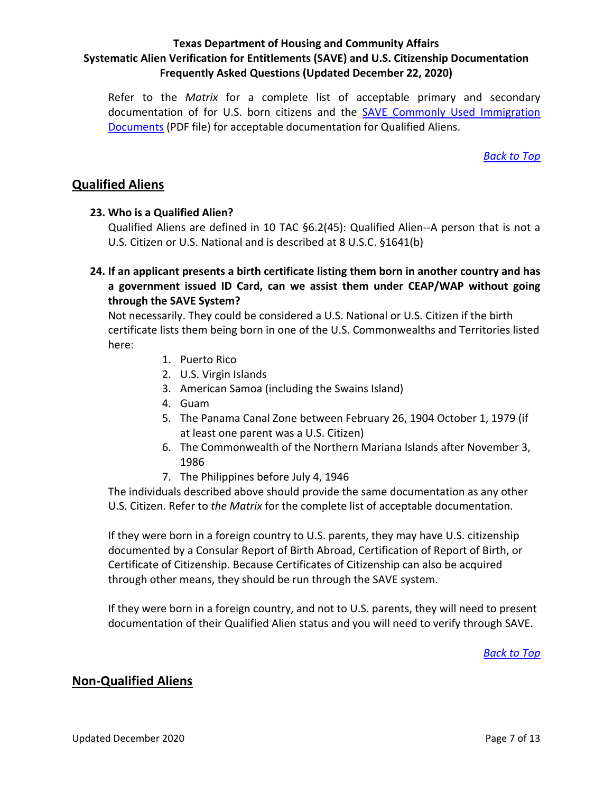Refer to the *Matrix* for a complete list of acceptable primary and secondary documentation of for U.S. born citizens and the [SAVE Commonly Used Immigration](https://www.tdhca.state.tx.us/community-affairs/docs/SAVEGuideCommonlyusedImmigrationDocs.pdf)  [Documents](https://www.tdhca.state.tx.us/community-affairs/docs/SAVEGuideCommonlyusedImmigrationDocs.pdf) (PDF file) for acceptable documentation for Qualified Aliens.

*[Back to Top](#page-0-0)*

## <span id="page-6-0"></span>**Qualified Aliens**

### **23. Who is a Qualified Alien?**

Qualified Aliens are defined in 10 TAC §6.2(45): Qualified Alien--A person that is not a U.S. Citizen or U.S. National and is described at 8 U.S.C. §1641(b)

**24. If an applicant presents a birth certificate listing them born in another country and has a government issued ID Card, can we assist them under CEAP/WAP without going through the SAVE System?**

Not necessarily. They could be considered a U.S. National or U.S. Citizen if the birth certificate lists them being born in one of the U.S. Commonwealths and Territories listed here:

- 1. Puerto Rico
- 2. U.S. Virgin Islands
- 3. American Samoa (including the Swains Island)
- 4. Guam
- 5. The Panama Canal Zone between February 26, 1904 October 1, 1979 (if at least one parent was a U.S. Citizen)
- 6. The Commonwealth of the Northern Mariana Islands after November 3, 1986
- 7. The Philippines before July 4, 1946

The individuals described above should provide the same documentation as any other U.S. Citizen. Refer to *the Matrix* for the complete list of acceptable documentation.

If they were born in a foreign country to U.S. parents, they may have U.S. citizenship documented by a Consular Report of Birth Abroad, Certification of Report of Birth, or Certificate of Citizenship. Because Certificates of Citizenship can also be acquired through other means, they should be run through the SAVE system.

If they were born in a foreign country, and not to U.S. parents, they will need to present documentation of their Qualified Alien status and you will need to verify through SAVE.

*[Back to Top](#page-0-0)*

## <span id="page-6-1"></span>**Non-Qualified Aliens**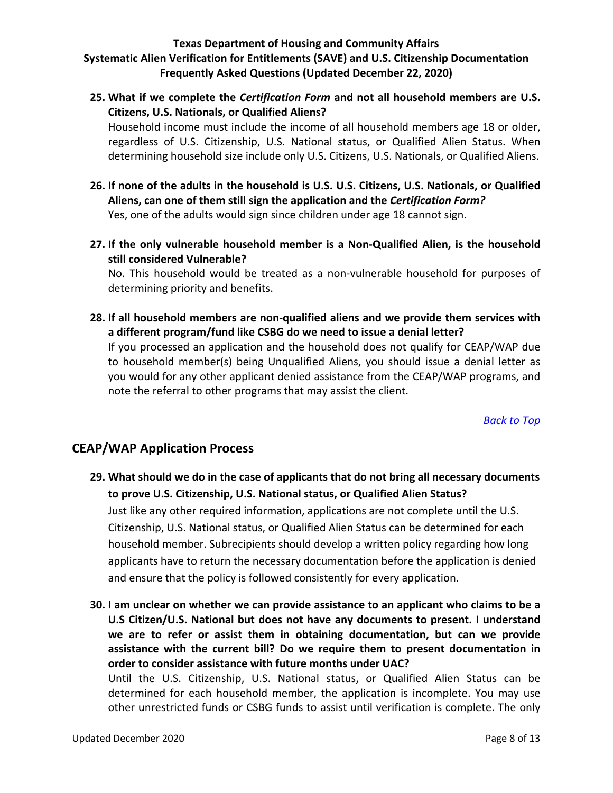**25. What if we complete the** *Certification Form* **and not all household members are U.S. Citizens, U.S. Nationals, or Qualified Aliens?**

Household income must include the income of all household members age 18 or older, regardless of U.S. Citizenship, U.S. National status, or Qualified Alien Status. When determining household size include only U.S. Citizens, U.S. Nationals, or Qualified Aliens.

- **26. If none of the adults in the household is U.S. U.S. Citizens, U.S. Nationals, or Qualified Aliens, can one of them still sign the application and the** *Certification Form?* Yes, one of the adults would sign since children under age 18 cannot sign.
- **27. If the only vulnerable household member is a Non-Qualified Alien, is the household still considered Vulnerable?**

No. This household would be treated as a non-vulnerable household for purposes of determining priority and benefits.

**28. If all household members are non-qualified aliens and we provide them services with a different program/fund like CSBG do we need to issue a denial letter?**

If you processed an application and the household does not qualify for CEAP/WAP due to household member(s) being Unqualified Aliens, you should issue a denial letter as you would for any other applicant denied assistance from the CEAP/WAP programs, and note the referral to other programs that may assist the client.

*[Back to Top](#page-0-0)*

# <span id="page-7-0"></span>**CEAP/WAP Application Process**

**29. What should we do in the case of applicants that do not bring all necessary documents to prove U.S. Citizenship, U.S. National status, or Qualified Alien Status?**

Just like any other required information, applications are not complete until the U.S. Citizenship, U.S. National status, or Qualified Alien Status can be determined for each household member. Subrecipients should develop a written policy regarding how long applicants have to return the necessary documentation before the application is denied and ensure that the policy is followed consistently for every application.

**30. I am unclear on whether we can provide assistance to an applicant who claims to be a U.S Citizen/U.S. National but does not have any documents to present. I understand we are to refer or assist them in obtaining documentation, but can we provide assistance with the current bill? Do we require them to present documentation in order to consider assistance with future months under UAC?** Until the U.S. Citizenship, U.S. National status, or Qualified Alien Status can be determined for each household member, the application is incomplete. You may use

other unrestricted funds or CSBG funds to assist until verification is complete. The only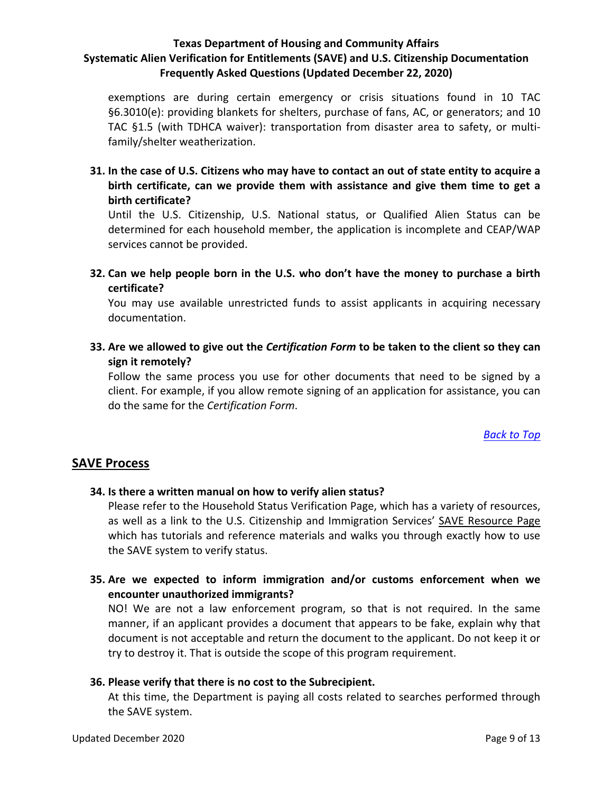exemptions are during certain emergency or crisis situations found in 10 TAC §6.3010(e): providing blankets for shelters, purchase of fans, AC, or generators; and 10 TAC §1.5 (with TDHCA waiver): transportation from disaster area to safety, or multifamily/shelter weatherization.

**31. In the case of U.S. Citizens who may have to contact an out of state entity to acquire a birth certificate, can we provide them with assistance and give them time to get a birth certificate?**

Until the U.S. Citizenship, U.S. National status, or Qualified Alien Status can be determined for each household member, the application is incomplete and CEAP/WAP services cannot be provided.

**32. Can we help people born in the U.S. who don't have the money to purchase a birth certificate?**

You may use available unrestricted funds to assist applicants in acquiring necessary documentation.

**33. Are we allowed to give out the** *Certification Form* **to be taken to the client so they can sign it remotely?**

Follow the same process you use for other documents that need to be signed by a client. For example, if you allow remote signing of an application for assistance, you can do the same for the *Certification Form*.

*[Back to Top](#page-0-0)*

## <span id="page-8-0"></span>**SAVE Process**

### **34. Is there a written manual on how to verify alien status?**

Please refer to the Household Status Verification Page, which has a variety of resources, as well as a link to the U.S. Citizenship and Immigration Services' [SAVE Resource Page](https://www.uscis.gov/save/resources) which has tutorials and reference materials and walks you through exactly how to use the SAVE system to verify status.

**35. Are we expected to inform immigration and/or customs enforcement when we encounter unauthorized immigrants?**

NO! We are not a law enforcement program, so that is not required. In the same manner, if an applicant provides a document that appears to be fake, explain why that document is not acceptable and return the document to the applicant. Do not keep it or try to destroy it. That is outside the scope of this program requirement.

### **36. Please verify that there is no cost to the Subrecipient.**

At this time, the Department is paying all costs related to searches performed through the SAVE system.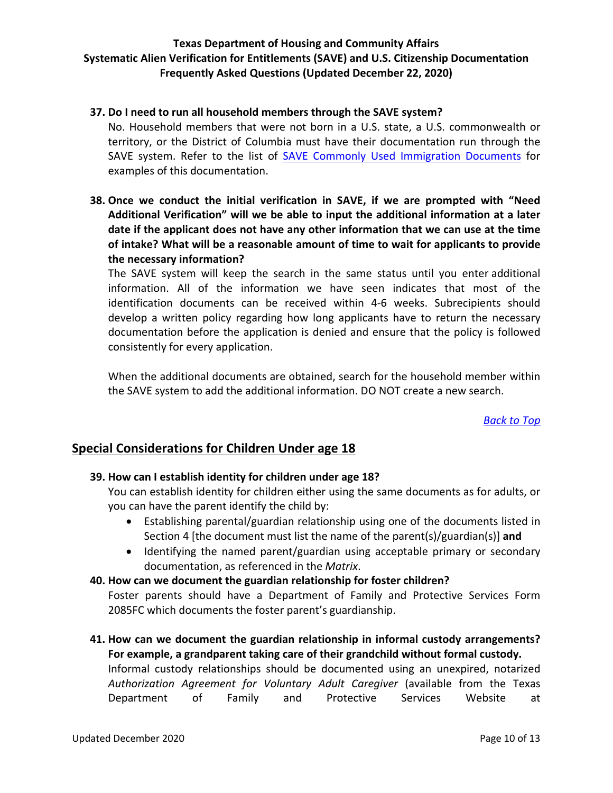#### **37. Do I need to run all household members through the SAVE system?**

No. Household members that were not born in a U.S. state, a U.S. commonwealth or territory, or the District of Columbia must have their documentation run through the SAVE system. Refer to the list of [SAVE Commonly Used Immigration Documents](https://www.tdhca.state.tx.us/community-affairs/docs/SAVEGuideCommonlyusedImmigrationDocs.pdf) for examples of this documentation.

**38. Once we conduct the initial verification in SAVE, if we are prompted with "Need Additional Verification" will we be able to input the additional information at a later date if the applicant does not have any other information that we can use at the time of intake? What will be a reasonable amount of time to wait for applicants to provide the necessary information?**

The SAVE system will keep the search in the same status until you enter additional information. All of the information we have seen indicates that most of the identification documents can be received within 4-6 weeks. Subrecipients should develop a written policy regarding how long applicants have to return the necessary documentation before the application is denied and ensure that the policy is followed consistently for every application.

When the additional documents are obtained, search for the household member within the SAVE system to add the additional information. DO NOT create a new search.

*[Back to Top](#page-0-0)*

## <span id="page-9-0"></span>**Special Considerations for Children Under age 18**

### **39. How can I establish identity for children under age 18?**

You can establish identity for children either using the same documents as for adults, or you can have the parent identify the child by:

- Establishing parental/guardian relationship using one of the documents listed in Section 4 [the document must list the name of the parent(s)/guardian(s)] **and**
- Identifying the named parent/guardian using acceptable primary or secondary documentation, as referenced in the *Matrix*.

#### **40. How can we document the guardian relationship for foster children?**

Foster parents should have a Department of Family and Protective Services Form 2085FC which documents the foster parent's guardianship.

**41. How can we document the guardian relationship in informal custody arrangements? For example, a grandparent taking care of their grandchild without formal custody.** Informal custody relationships should be documented using an unexpired, notarized *Authorization Agreement for Voluntary Adult Caregiver* (available from the Texas Department of Family and Protective Services Website at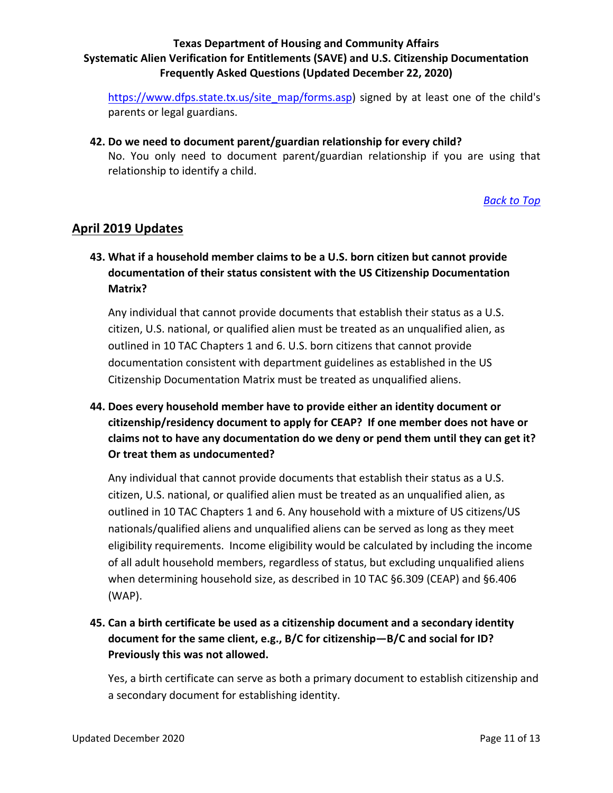[https://www.dfps.state.tx.us/site\\_map/forms.asp\)](https://www.dfps.state.tx.us/site_map/forms.asp) signed by at least one of the child's parents or legal guardians.

**42. Do we need to document parent/guardian relationship for every child?** No. You only need to document parent/guardian relationship if you are using that relationship to identify a child.

*[Back to Top](#page-0-0)*

## <span id="page-10-0"></span>**April 2019 Updates**

**43. What if a household member claims to be a U.S. born citizen but cannot provide documentation of their status consistent with the US Citizenship Documentation Matrix?**

Any individual that cannot provide documents that establish their status as a U.S. citizen, U.S. national, or qualified alien must be treated as an unqualified alien, as outlined in 10 TAC Chapters 1 and 6. U.S. born citizens that cannot provide documentation consistent with department guidelines as established in the US Citizenship Documentation Matrix must be treated as unqualified aliens.

**44. Does every household member have to provide either an identity document or citizenship/residency document to apply for CEAP? If one member does not have or claims not to have any documentation do we deny or pend them until they can get it? Or treat them as undocumented?**

Any individual that cannot provide documents that establish their status as a U.S. citizen, U.S. national, or qualified alien must be treated as an unqualified alien, as outlined in 10 TAC Chapters 1 and 6. Any household with a mixture of US citizens/US nationals/qualified aliens and unqualified aliens can be served as long as they meet eligibility requirements. Income eligibility would be calculated by including the income of all adult household members, regardless of status, but excluding unqualified aliens when determining household size, as described in 10 TAC §6.309 (CEAP) and §6.406 (WAP).

**45. Can a birth certificate be used as a citizenship document and a secondary identity document for the same client, e.g., B/C for citizenship—B/C and social for ID? Previously this was not allowed.**

Yes, a birth certificate can serve as both a primary document to establish citizenship and a secondary document for establishing identity.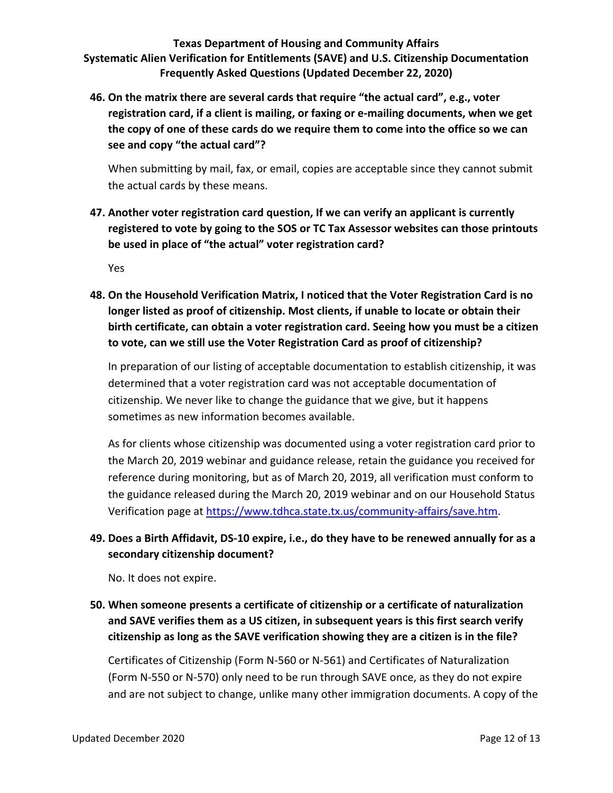**46. On the matrix there are several cards that require "the actual card", e.g., voter registration card, if a client is mailing, or faxing or e-mailing documents, when we get the copy of one of these cards do we require them to come into the office so we can see and copy "the actual card"?**

When submitting by mail, fax, or email, copies are acceptable since they cannot submit the actual cards by these means.

**47. Another voter registration card question, If we can verify an applicant is currently registered to vote by going to the SOS or TC Tax Assessor websites can those printouts be used in place of "the actual" voter registration card?**

Yes

**48. On the Household Verification Matrix, I noticed that the Voter Registration Card is no longer listed as proof of citizenship. Most clients, if unable to locate or obtain their birth certificate, can obtain a voter registration card. Seeing how you must be a citizen to vote, can we still use the Voter Registration Card as proof of citizenship?**

In preparation of our listing of acceptable documentation to establish citizenship, it was determined that a voter registration card was not acceptable documentation of citizenship. We never like to change the guidance that we give, but it happens sometimes as new information becomes available.

As for clients whose citizenship was documented using a voter registration card prior to the March 20, 2019 webinar and guidance release, retain the guidance you received for reference during monitoring, but as of March 20, 2019, all verification must conform to the guidance released during the March 20, 2019 webinar and on our Household Status Verification page at [https://www.tdhca.state.tx.us/community-affairs/save.htm.](https://www.tdhca.state.tx.us/community-affairs/save.htm)

## **49. Does a Birth Affidavit, DS-10 expire, i.e., do they have to be renewed annually for as a secondary citizenship document?**

No. It does not expire.

**50. When someone presents a certificate of citizenship or a certificate of naturalization and SAVE verifies them as a US citizen, in subsequent years is this first search verify citizenship as long as the SAVE verification showing they are a citizen is in the file?**

Certificates of Citizenship (Form N-560 or N-561) and Certificates of Naturalization (Form N-550 or N-570) only need to be run through SAVE once, as they do not expire and are not subject to change, unlike many other immigration documents. A copy of the